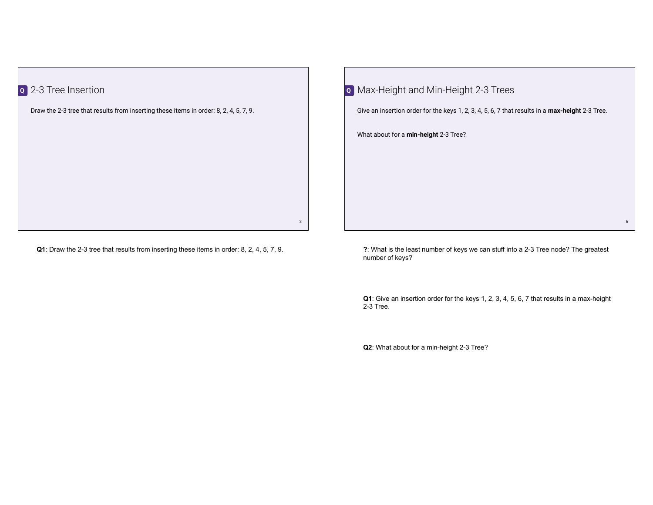| 2-3 Tree Insertion                                                                    |
|---------------------------------------------------------------------------------------|
| Draw the 2-3 tree that results from inserting these items in order: 8, 2, 4, 5, 7, 9. |
|                                                                                       |
|                                                                                       |
|                                                                                       |
|                                                                                       |
|                                                                                       |
|                                                                                       |

**Q1**: Draw the 2-3 tree that results from inserting these items in order: 8, 2, 4, 5, 7, 9.

3

| o Max-Height and Min-Height 2-3 Trees                                                           |
|-------------------------------------------------------------------------------------------------|
| Give an insertion order for the keys 1, 2, 3, 4, 5, 6, 7 that results in a max-height 2-3 Tree. |
| What about for a min-height 2-3 Tree?                                                           |
|                                                                                                 |
|                                                                                                 |
|                                                                                                 |
|                                                                                                 |

**?**: What is the least number of keys we can stuff into a 2-3 Tree node? The greatest number of keys?

6

**Q1**: Give an insertion order for the keys 1, 2, 3, 4, 5, 6, 7 that results in a max-height 2-3 Tree.

**Q2**: What about for a min-height 2-3 Tree?